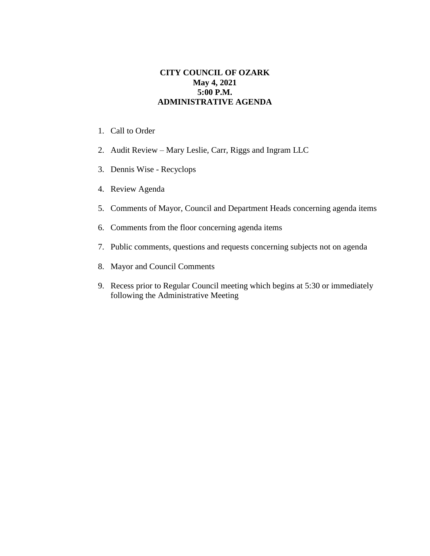## **CITY COUNCIL OF OZARK May 4, 2021 5:00 P.M. ADMINISTRATIVE AGENDA**

- 1. Call to Order
- 2. Audit Review Mary Leslie, Carr, Riggs and Ingram LLC
- 3. Dennis Wise Recyclops
- 4. Review Agenda
- 5. Comments of Mayor, Council and Department Heads concerning agenda items
- 6. Comments from the floor concerning agenda items
- 7. Public comments, questions and requests concerning subjects not on agenda
- 8. Mayor and Council Comments
- 9. Recess prior to Regular Council meeting which begins at 5:30 or immediately following the Administrative Meeting